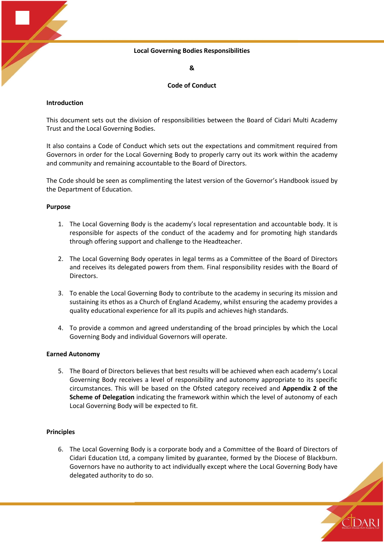## **Local Governing Bodies Responsibilities**

**&**

## **Code of Conduct**

## **Introduction**

This document sets out the division of responsibilities between the Board of Cidari Multi Academy Trust and the Local Governing Bodies.

It also contains a Code of Conduct which sets out the expectations and commitment required from Governors in order for the Local Governing Body to properly carry out its work within the academy and community and remaining accountable to the Board of Directors.

The Code should be seen as complimenting the latest version of the Governor's Handbook issued by the Department of Education.

## **Purpose**

- 1. The Local Governing Body is the academy's local representation and accountable body. It is responsible for aspects of the conduct of the academy and for promoting high standards through offering support and challenge to the Headteacher.
- 2. The Local Governing Body operates in legal terms as a Committee of the Board of Directors and receives its delegated powers from them. Final responsibility resides with the Board of Directors.
- 3. To enable the Local Governing Body to contribute to the academy in securing its mission and sustaining its ethos as a Church of England Academy, whilst ensuring the academy provides a quality educational experience for all its pupils and achieves high standards.
- 4. To provide a common and agreed understanding of the broad principles by which the Local Governing Body and individual Governors will operate.

## **Earned Autonomy**

5. The Board of Directors believes that best results will be achieved when each academy's Local Governing Body receives a level of responsibility and autonomy appropriate to its specific circumstances. This will be based on the Ofsted category received and **Appendix 2 of the Scheme of Delegation** indicating the framework within which the level of autonomy of each Local Governing Body will be expected to fit.

## **Principles**

6. The Local Governing Body is a corporate body and a Committee of the Board of Directors of Cidari Education Ltd, a company limited by guarantee, formed by the Diocese of Blackburn. Governors have no authority to act individually except where the Local Governing Body have delegated authority to do so.

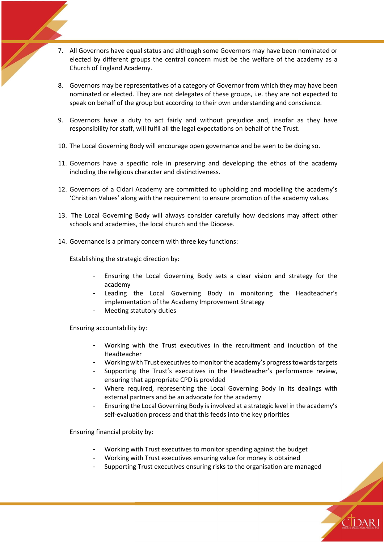- 7. All Governors have equal status and although some Governors may have been nominated or elected by different groups the central concern must be the welfare of the academy as a Church of England Academy.
- 8. Governors may be representatives of a category of Governor from which they may have been nominated or elected. They are not delegates of these groups, i.e. they are not expected to speak on behalf of the group but according to their own understanding and conscience.
- 9. Governors have a duty to act fairly and without prejudice and, insofar as they have responsibility for staff, will fulfil all the legal expectations on behalf of the Trust.
- 10. The Local Governing Body will encourage open governance and be seen to be doing so.
- 11. Governors have a specific role in preserving and developing the ethos of the academy including the religious character and distinctiveness.
- 12. Governors of a Cidari Academy are committed to upholding and modelling the academy's 'Christian Values' along with the requirement to ensure promotion of the academy values.
- 13. The Local Governing Body will always consider carefully how decisions may affect other schools and academies, the local church and the Diocese.
- 14. Governance is a primary concern with three key functions:

Establishing the strategic direction by:

- Ensuring the Local Governing Body sets a clear vision and strategy for the academy
- Leading the Local Governing Body in monitoring the Headteacher's implementation of the Academy Improvement Strategy
- Meeting statutory duties

Ensuring accountability by:

- Working with the Trust executives in the recruitment and induction of the Headteacher
- Working with Trust executives to monitor the academy's progress towards targets
- Supporting the Trust's executives in the Headteacher's performance review, ensuring that appropriate CPD is provided
- Where required, representing the Local Governing Body in its dealings with external partners and be an advocate for the academy
- Ensuring the Local Governing Body is involved at a strategic level in the academy's self-evaluation process and that this feeds into the key priorities

Ensuring financial probity by:

- Working with Trust executives to monitor spending against the budget
- Working with Trust executives ensuring value for money is obtained
- Supporting Trust executives ensuring risks to the organisation are managed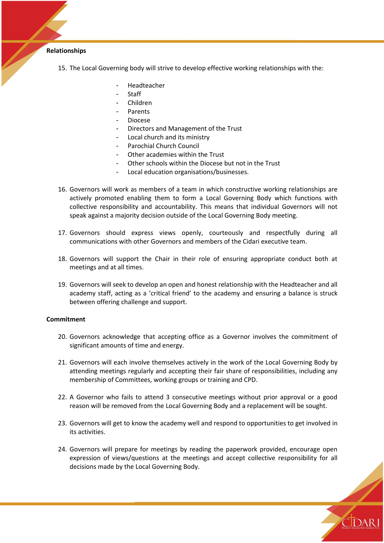## **Relationships**

- 15. The Local Governing body will strive to develop effective working relationships with the:
	- Headteacher
	- Staff
	- Children
	- **Parents**
	- Diocese
	- Directors and Management of the Trust
	- Local church and its ministry
	- Parochial Church Council
	- Other academies within the Trust
	- Other schools within the Diocese but not in the Trust
	- Local education organisations/businesses.
- 16. Governors will work as members of a team in which constructive working relationships are actively promoted enabling them to form a Local Governing Body which functions with collective responsibility and accountability. This means that individual Governors will not speak against a majority decision outside of the Local Governing Body meeting.
- 17. Governors should express views openly, courteously and respectfully during all communications with other Governors and members of the Cidari executive team.
- 18. Governors will support the Chair in their role of ensuring appropriate conduct both at meetings and at all times.
- 19. Governors will seek to develop an open and honest relationship with the Headteacher and all academy staff, acting as a 'critical friend' to the academy and ensuring a balance is struck between offering challenge and support.

#### **Commitment**

- 20. Governors acknowledge that accepting office as a Governor involves the commitment of significant amounts of time and energy.
- 21. Governors will each involve themselves actively in the work of the Local Governing Body by attending meetings regularly and accepting their fair share of responsibilities, including any membership of Committees, working groups or training and CPD.
- 22. A Governor who fails to attend 3 consecutive meetings without prior approval or a good reason will be removed from the Local Governing Body and a replacement will be sought.
- 23. Governors will get to know the academy well and respond to opportunities to get involved in its activities.
- 24. Governors will prepare for meetings by reading the paperwork provided, encourage open expression of views/questions at the meetings and accept collective responsibility for all decisions made by the Local Governing Body.

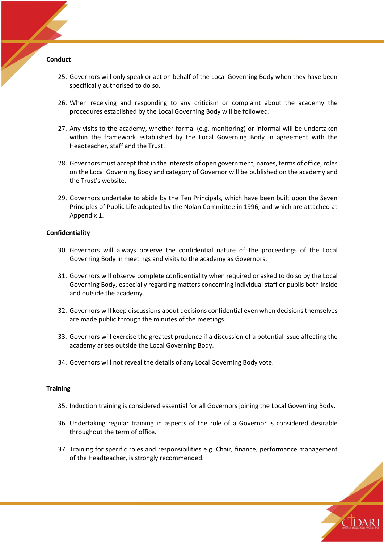#### **Conduct**

- 25. Governors will only speak or act on behalf of the Local Governing Body when they have been specifically authorised to do so.
- 26. When receiving and responding to any criticism or complaint about the academy the procedures established by the Local Governing Body will be followed.
- 27. Any visits to the academy, whether formal (e.g. monitoring) or informal will be undertaken within the framework established by the Local Governing Body in agreement with the Headteacher, staff and the Trust.
- 28. Governors must accept that in the interests of open government, names, terms of office, roles on the Local Governing Body and category of Governor will be published on the academy and the Trust's website.
- 29. Governors undertake to abide by the Ten Principals, which have been built upon the Seven Principles of Public Life adopted by the Nolan Committee in 1996, and which are attached at Appendix 1.

## **Confidentiality**

- 30. Governors will always observe the confidential nature of the proceedings of the Local Governing Body in meetings and visits to the academy as Governors.
- 31. Governors will observe complete confidentiality when required or asked to do so by the Local Governing Body, especially regarding matters concerning individual staff or pupils both inside and outside the academy.
- 32. Governors will keep discussions about decisions confidential even when decisions themselves are made public through the minutes of the meetings.
- 33. Governors will exercise the greatest prudence if a discussion of a potential issue affecting the academy arises outside the Local Governing Body.
- 34. Governors will not reveal the details of any Local Governing Body vote.

#### **Training**

- 35. Induction training is considered essential for all Governors joining the Local Governing Body.
- 36. Undertaking regular training in aspects of the role of a Governor is considered desirable throughout the term of office.
- 37. Training for specific roles and responsibilities e.g. Chair, finance, performance management of the Headteacher, is strongly recommended.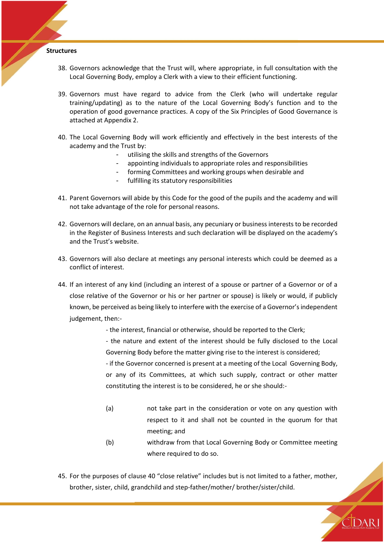#### **Structures**

- 38. Governors acknowledge that the Trust will, where appropriate, in full consultation with the Local Governing Body, employ a Clerk with a view to their efficient functioning.
- 39. Governors must have regard to advice from the Clerk (who will undertake regular training/updating) as to the nature of the Local Governing Body's function and to the operation of good governance practices. A copy of the Six Principles of Good Governance is attached at Appendix 2.
- 40. The Local Governing Body will work efficiently and effectively in the best interests of the academy and the Trust by:
	- utilising the skills and strengths of the Governors
	- appointing individuals to appropriate roles and responsibilities
	- forming Committees and working groups when desirable and
	- fulfilling its statutory responsibilities
- 41. Parent Governors will abide by this Code for the good of the pupils and the academy and will not take advantage of the role for personal reasons.
- 42. Governors will declare, on an annual basis, any pecuniary or business interests to be recorded in the Register of Business Interests and such declaration will be displayed on the academy's and the Trust's website.
- 43. Governors will also declare at meetings any personal interests which could be deemed as a conflict of interest.
- 44. If an interest of any kind (including an interest of a spouse or partner of a Governor or of a close relative of the Governor or his or her partner or spouse) is likely or would, if publicly known, be perceived as being likely to interfere with the exercise of a Governor's independent judgement, then:-
	- the interest, financial or otherwise, should be reported to the Clerk;
	- the nature and extent of the interest should be fully disclosed to the Local Governing Body before the matter giving rise to the interest is considered;

- if the Governor concerned is present at a meeting of the Local Governing Body, or any of its Committees, at which such supply, contract or other matter constituting the interest is to be considered, he or she should:-

- (a) not take part in the consideration or vote on any question with respect to it and shall not be counted in the quorum for that meeting; and
- (b) withdraw from that Local Governing Body or Committee meeting where required to do so.

**TDAR** 

45. For the purposes of clause 40 "close relative" includes but is not limited to a father, mother, brother, sister, child, grandchild and step-father/mother/ brother/sister/child.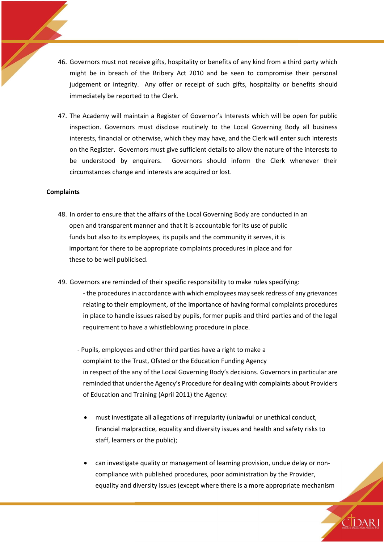- 46. Governors must not receive gifts, hospitality or benefits of any kind from a third party which might be in breach of the Bribery Act 2010 and be seen to compromise their personal judgement or integrity. Any offer or receipt of such gifts, hospitality or benefits should immediately be reported to the Clerk.
- 47. The Academy will maintain a Register of Governor's Interests which will be open for public inspection. Governors must disclose routinely to the Local Governing Body all business interests, financial or otherwise, which they may have, and the Clerk will enter such interests on the Register. Governors must give sufficient details to allow the nature of the interests to be understood by enquirers. Governors should inform the Clerk whenever their circumstances change and interests are acquired or lost.

#### **Complaints**

- 48. In order to ensure that the affairs of the Local Governing Body are conducted in an open and transparent manner and that it is accountable for its use of public funds but also to its employees, its pupils and the community it serves, it is important for there to be appropriate complaints procedures in place and for these to be well publicised.
- 49. Governors are reminded of their specific responsibility to make rules specifying: - the procedures in accordance with which employees may seek redress of any grievances relating to their employment, of the importance of having formal complaints procedures in place to handle issues raised by pupils, former pupils and third parties and of the legal requirement to have a whistleblowing procedure in place.
	- Pupils, employees and other third parties have a right to make a complaint to the Trust, Ofsted or the Education Funding Agency in respect of the any of the Local Governing Body's decisions. Governors in particular are reminded that under the Agency's Procedure for dealing with complaints about Providers of Education and Training (April 2011) the Agency:
		- must investigate all allegations of irregularity (unlawful or unethical conduct, financial malpractice, equality and diversity issues and health and safety risks to staff, learners or the public);
		- can investigate quality or management of learning provision, undue delay or noncompliance with published procedures, poor administration by the Provider, equality and diversity issues (except where there is a more appropriate mechanism

**IDARI**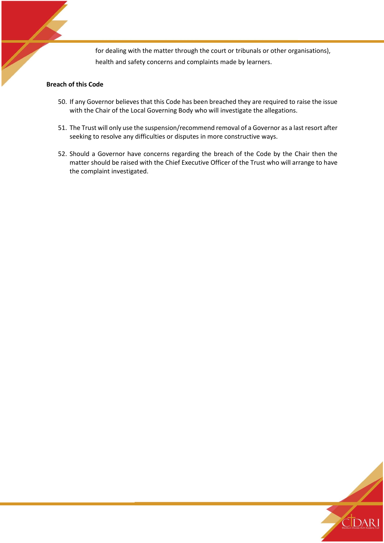for dealing with the matter through the court or tribunals or other organisations), health and safety concerns and complaints made by learners.

# **Breach of this Code**

- 50. If any Governor believes that this Code has been breached they are required to raise the issue with the Chair of the Local Governing Body who will investigate the allegations.
- 51. The Trust will only use the suspension/recommend removal of a Governor as a last resort after seeking to resolve any difficulties or disputes in more constructive ways.
- 52. Should a Governor have concerns regarding the breach of the Code by the Chair then the matter should be raised with the Chief Executive Officer of the Trust who will arrange to have the complaint investigated.

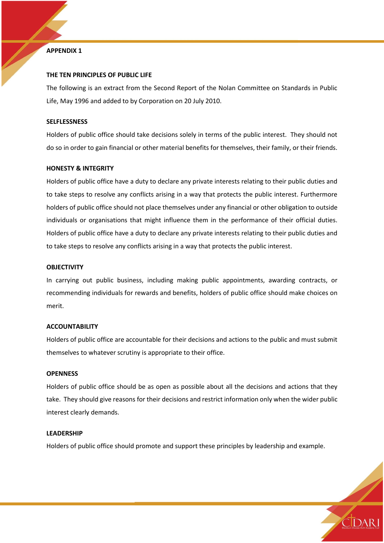## **APPENDIX 1**

## **THE TEN PRINCIPLES OF PUBLIC LIFE**

The following is an extract from the Second Report of the Nolan Committee on Standards in Public Life, May 1996 and added to by Corporation on 20 July 2010.

#### **SELFLESSNESS**

Holders of public office should take decisions solely in terms of the public interest. They should not do so in order to gain financial or other material benefits for themselves, their family, or their friends.

#### **HONESTY & INTEGRITY**

Holders of public office have a duty to declare any private interests relating to their public duties and to take steps to resolve any conflicts arising in a way that protects the public interest. Furthermore holders of public office should not place themselves under any financial or other obligation to outside individuals or organisations that might influence them in the performance of their official duties. Holders of public office have a duty to declare any private interests relating to their public duties and to take steps to resolve any conflicts arising in a way that protects the public interest.

#### **OBJECTIVITY**

In carrying out public business, including making public appointments, awarding contracts, or recommending individuals for rewards and benefits, holders of public office should make choices on merit.

#### **ACCOUNTABILITY**

Holders of public office are accountable for their decisions and actions to the public and must submit themselves to whatever scrutiny is appropriate to their office.

#### **OPENNESS**

Holders of public office should be as open as possible about all the decisions and actions that they take. They should give reasons for their decisions and restrict information only when the wider public interest clearly demands.

## **LEADERSHIP**

Holders of public office should promote and support these principles by leadership and example.

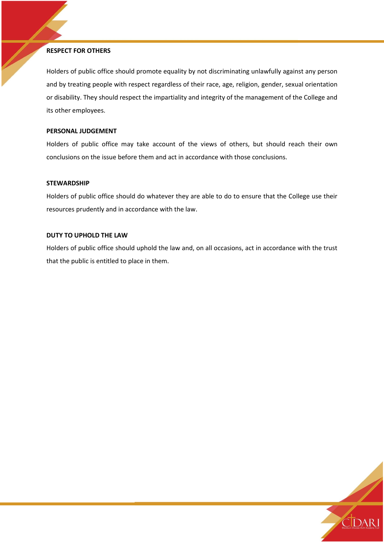## **RESPECT FOR OTHERS**

Holders of public office should promote equality by not discriminating unlawfully against any person and by treating people with respect regardless of their race, age, religion, gender, sexual orientation or disability. They should respect the impartiality and integrity of the management of the College and its other employees.

## **PERSONAL JUDGEMENT**

Holders of public office may take account of the views of others, but should reach their own conclusions on the issue before them and act in accordance with those conclusions.

## **STEWARDSHIP**

Holders of public office should do whatever they are able to do to ensure that the College use their resources prudently and in accordance with the law.

## **DUTY TO UPHOLD THE LAW**

Holders of public office should uphold the law and, on all occasions, act in accordance with the trust that the public is entitled to place in them.

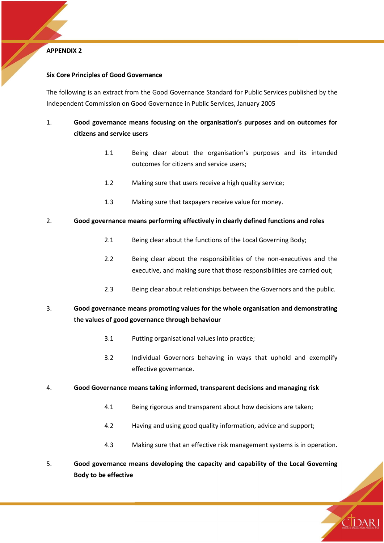## **APPENDIX 2**

# **Six Core Principles of Good Governance**

The following is an extract from the Good Governance Standard for Public Services published by the Independent Commission on Good Governance in Public Services, January 2005

# 1. **Good governance means focusing on the organisation's purposes and on outcomes for citizens and service users**

- 1.1 Being clear about the organisation's purposes and its intended outcomes for citizens and service users;
- 1.2 Making sure that users receive a high quality service;
- 1.3 Making sure that taxpayers receive value for money.

# 2. **Good governance means performing effectively in clearly defined functions and roles**

- 2.1 Being clear about the functions of the Local Governing Body;
- 2.2 Being clear about the responsibilities of the non-executives and the executive, and making sure that those responsibilities are carried out;
- 2.3 Being clear about relationships between the Governors and the public.

# 3. **Good governance means promoting values for the whole organisation and demonstrating the values of good governance through behaviour**

- 3.1 Putting organisational values into practice;
- 3.2 Individual Governors behaving in ways that uphold and exemplify effective governance.

## 4. **Good Governance means taking informed, transparent decisions and managing risk**

- 4.1 Being rigorous and transparent about how decisions are taken;
- 4.2 Having and using good quality information, advice and support;
- 4.3 Making sure that an effective risk management systems is in operation.
- 5. **Good governance means developing the capacity and capability of the Local Governing Body to be effective**